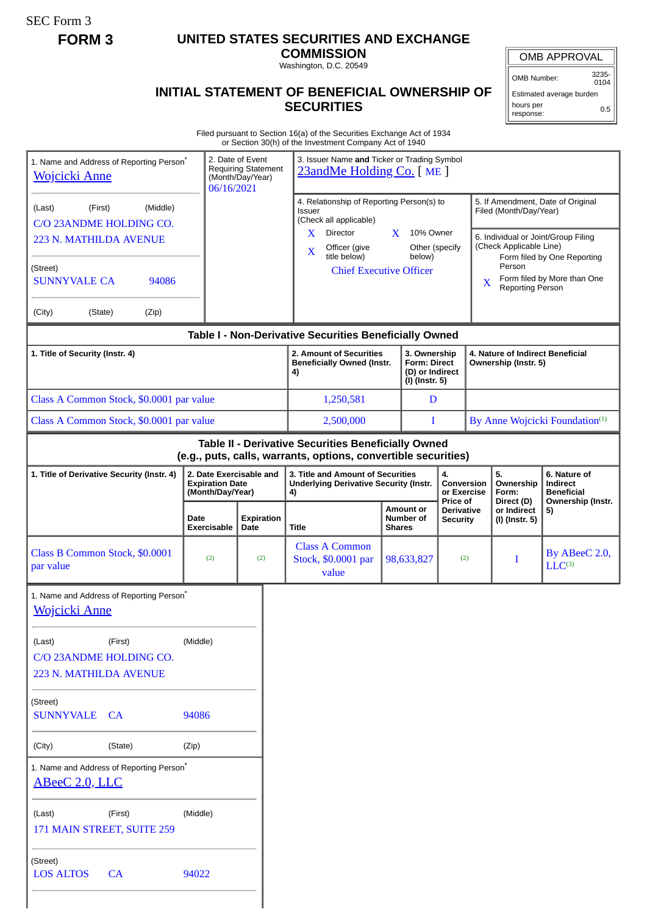SEC Form 3

# **FORM 3 UNITED STATES SECURITIES AND EXCHANGE**

**COMMISSION**

Washington, D.C. 20549

# **INITIAL STATEMENT OF BENEFICIAL OWNERSHIP OF SECURITIES**

OMB APPROVAL

OMB Number: 3235- 0104

Estimated average burden hours per response: 0.5

Filed pursuant to Section 16(a) of the Securities Exchange Act of 1934 or Section 30(h) of the Investment Company Act of 1940

| 1. Name and Address of Reporting Person <sup>*</sup><br><b>Wojcicki Anne</b> |                                          | 2. Date of Event<br><b>Requiring Statement</b><br>(Month/Day/Year)<br>06/16/2021 |           | 3. Issuer Name and Ticker or Trading Symbol<br>23andMe Holding Co. [ME]                                                                        |                                                                                                      |                                             |                                                                |                                                             |                                                                         |                                                                          |  |
|------------------------------------------------------------------------------|------------------------------------------|----------------------------------------------------------------------------------|-----------|------------------------------------------------------------------------------------------------------------------------------------------------|------------------------------------------------------------------------------------------------------|---------------------------------------------|----------------------------------------------------------------|-------------------------------------------------------------|-------------------------------------------------------------------------|--------------------------------------------------------------------------|--|
| (First)<br>(Middle)<br>(Last)<br>C/O 23ANDME HOLDING CO.                     |                                          |                                                                                  |           | 4. Relationship of Reporting Person(s) to<br>Issuer<br>(Check all applicable)                                                                  |                                                                                                      |                                             |                                                                | 5. If Amendment, Date of Original<br>Filed (Month/Day/Year) |                                                                         |                                                                          |  |
| 223 N. MATHILDA AVENUE                                                       |                                          |                                                                                  |           | X<br>Director<br>X<br>10% Owner<br>Officer (give<br>Other (specify<br>X                                                                        |                                                                                                      |                                             | 6. Individual or Joint/Group Filing<br>(Check Applicable Line) |                                                             |                                                                         |                                                                          |  |
| (Street)<br><b>SUNNYVALE CA</b><br>94086                                     |                                          | title below)<br>below)<br><b>Chief Executive Officer</b>                         |           |                                                                                                                                                | Form filed by One Reporting<br>Person<br>Form filed by More than One<br>X<br><b>Reporting Person</b> |                                             |                                                                |                                                             |                                                                         |                                                                          |  |
| (City)<br>(State)<br>(Zip)                                                   |                                          |                                                                                  |           |                                                                                                                                                |                                                                                                      |                                             |                                                                |                                                             |                                                                         |                                                                          |  |
|                                                                              |                                          |                                                                                  |           | Table I - Non-Derivative Securities Beneficially Owned                                                                                         |                                                                                                      |                                             |                                                                |                                                             |                                                                         |                                                                          |  |
| 1. Title of Security (Instr. 4)                                              |                                          |                                                                                  |           | 3. Ownership<br>2. Amount of Securities<br><b>Beneficially Owned (Instr.</b><br><b>Form: Direct</b><br>(D) or Indirect<br>4)<br>(I) (Instr. 5) |                                                                                                      |                                             | 4. Nature of Indirect Beneficial<br>Ownership (Instr. 5)       |                                                             |                                                                         |                                                                          |  |
|                                                                              | Class A Common Stock, \$0.0001 par value |                                                                                  |           | 1,250,581                                                                                                                                      |                                                                                                      | D                                           |                                                                |                                                             |                                                                         |                                                                          |  |
| Class A Common Stock, \$0.0001 par value                                     |                                          |                                                                                  | 2,500,000 |                                                                                                                                                | I                                                                                                    |                                             | By Anne Wojcicki Foundation <sup>(1)</sup>                     |                                                             |                                                                         |                                                                          |  |
|                                                                              |                                          |                                                                                  |           | Table II - Derivative Securities Beneficially Owned<br>(e.g., puts, calls, warrants, options, convertible securities)                          |                                                                                                      |                                             |                                                                |                                                             |                                                                         |                                                                          |  |
| 1. Title of Derivative Security (Instr. 4)                                   |                                          | 2. Date Exercisable and<br><b>Expiration Date</b><br>(Month/Day/Year)            |           | 3. Title and Amount of Securities<br><b>Underlying Derivative Security (Instr.</b><br>4)                                                       |                                                                                                      | 4.<br>Conversion<br>or Exercise<br>Price of |                                                                |                                                             | 5.<br>Ownership<br>Form:<br>Direct (D)<br>or Indirect<br>(I) (Instr. 5) | 6. Nature of<br>Indirect<br><b>Beneficial</b><br>Ownership (Instr.<br>5) |  |
|                                                                              | Date<br><b>Exercisable</b>               | <b>Expiration</b><br>Date                                                        |           | <b>Title</b>                                                                                                                                   | <b>Amount or</b><br>Number of<br><b>Shares</b>                                                       |                                             | <b>Derivative</b><br><b>Security</b>                           |                                                             |                                                                         |                                                                          |  |
| Class B Common Stock, \$0.0001<br>par value                                  | (2)                                      | (2)                                                                              |           | <b>Class A Common</b><br>Stock, \$0.0001 par<br>value                                                                                          |                                                                                                      | 98,633,827                                  | (2)                                                            |                                                             | Ι                                                                       | By ABeeC 2.0,<br>$LLC^{(3)}$                                             |  |
| 1. Name and Address of Reporting Person*<br><b>Wojcicki Anne</b>             |                                          |                                                                                  |           |                                                                                                                                                |                                                                                                      |                                             |                                                                |                                                             |                                                                         |                                                                          |  |
| (Last)<br>(First)<br>C/O 23ANDME HOLDING CO.<br>223 N. MATHILDA AVENUE       | (Middle)                                 |                                                                                  |           |                                                                                                                                                |                                                                                                      |                                             |                                                                |                                                             |                                                                         |                                                                          |  |
| (Street)<br>SUNNYVALE CA                                                     | 94086                                    |                                                                                  |           |                                                                                                                                                |                                                                                                      |                                             |                                                                |                                                             |                                                                         |                                                                          |  |
| (City)<br>(State)                                                            | (Zip)                                    |                                                                                  |           |                                                                                                                                                |                                                                                                      |                                             |                                                                |                                                             |                                                                         |                                                                          |  |
| 1. Name and Address of Reporting Person <sup>®</sup><br>ABeeC 2.0, LLC       |                                          |                                                                                  |           |                                                                                                                                                |                                                                                                      |                                             |                                                                |                                                             |                                                                         |                                                                          |  |
| (First)<br>(Last)<br>171 MAIN STREET, SUITE 259                              | (Middle)                                 |                                                                                  |           |                                                                                                                                                |                                                                                                      |                                             |                                                                |                                                             |                                                                         |                                                                          |  |
| (Street)<br><b>LOS ALTOS</b><br>CA                                           | 94022                                    |                                                                                  |           |                                                                                                                                                |                                                                                                      |                                             |                                                                |                                                             |                                                                         |                                                                          |  |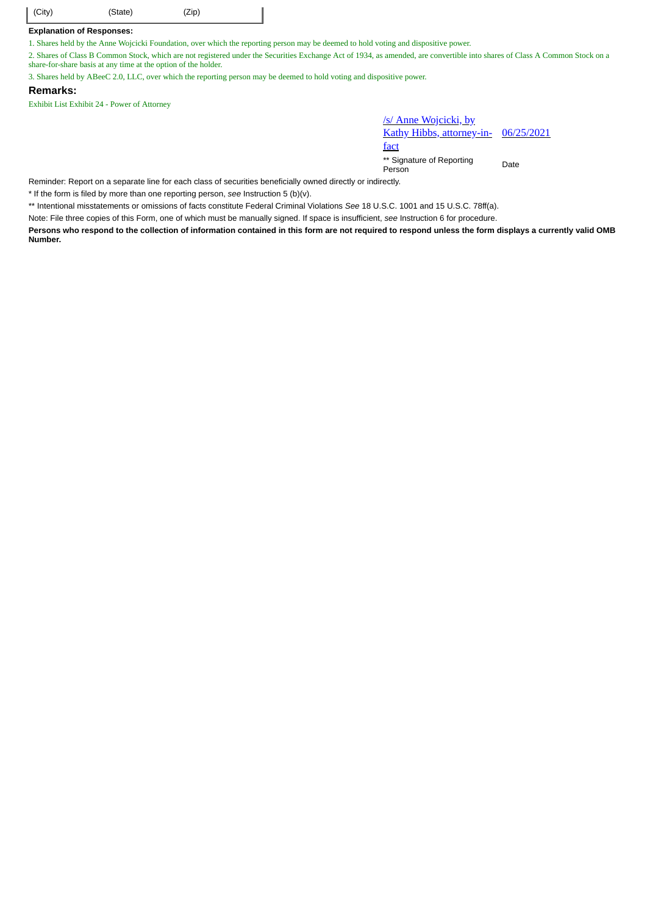| $\vert$ (City) | (State) | (Zip) |  |
|----------------|---------|-------|--|
|----------------|---------|-------|--|

## **Explanation of Responses:**

1. Shares held by the Anne Wojcicki Foundation, over which the reporting person may be deemed to hold voting and dispositive power.

2. Shares of Class B Common Stock, which are not registered under the Securities Exchange Act of 1934, as amended, are convertible into shares of Class A Common Stock on a share-for-share basis at any time at the option of the holder.

3. Shares held by ABeeC 2.0, LLC, over which the reporting person may be deemed to hold voting and dispositive power.

### **Remarks:**

Exhibit List Exhibit 24 - Power of Attorney

/s/ Anne Wojcicki, by Kathy Hibbs, attorney-infact 06/25/2021

\*\* Signature of Reporting Person Date

Reminder: Report on a separate line for each class of securities beneficially owned directly or indirectly.

\* If the form is filed by more than one reporting person, *see* Instruction 5 (b)(v).

\*\* Intentional misstatements or omissions of facts constitute Federal Criminal Violations *See* 18 U.S.C. 1001 and 15 U.S.C. 78ff(a).

Note: File three copies of this Form, one of which must be manually signed. If space is insufficient, *see* Instruction 6 for procedure.

**Persons who respond to the collection of information contained in this form are not required to respond unless the form displays a currently valid OMB Number.**